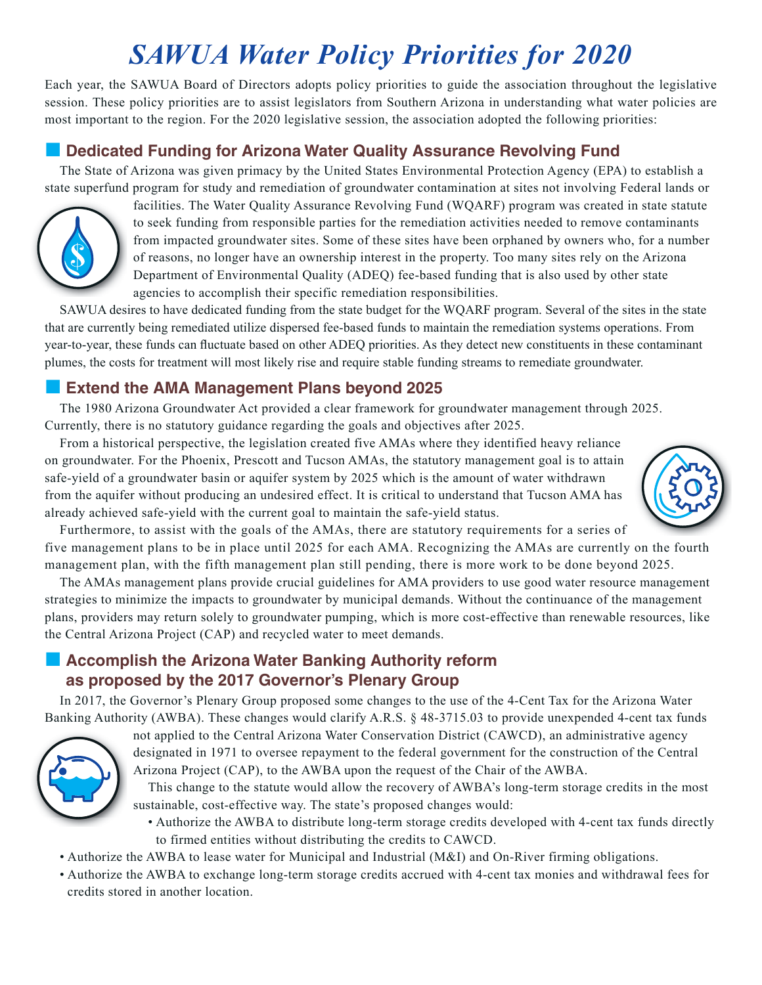# *SAWUA Water Policy Priorities for 2020*

Each year, the SAWUA Board of Directors adopts policy priorities to guide the association throughout the legislative session. These policy priorities are to assist legislators from Southern Arizona in understanding what water policies are most important to the region. For the 2020 legislative session, the association adopted the following priorities:

#### ■ Dedicated Funding for Arizona Water Quality Assurance Revolving Fund

The State of Arizona was given primacy by the United States Environmental Protection Agency (EPA) to establish a state superfund program for study and remediation of groundwater contamination at sites not involving Federal lands or



facilities. The Water Quality Assurance Revolving Fund (WQARF) program was created in state statute to seek funding from responsible parties for the remediation activities needed to remove contaminants from impacted groundwater sites. Some of these sites have been orphaned by owners who, for a number of reasons, no longer have an ownership interest in the property. Too many sites rely on the Arizona Department of Environmental Quality (ADEQ) fee-based funding that is also used by other state agencies to accomplish their specific remediation responsibilities.

SAWUA desires to have dedicated funding from the state budget for the WQARF program. Several of the sites in the state that are currently being remediated utilize dispersed fee-based funds to maintain the remediation systems operations. From year-to-year, these funds can fuctuate based on other ADEQ priorities. As they detect new constituents in these contaminant plumes, the costs for treatment will most likely rise and require stable funding streams to remediate groundwater.

#### ■ Extend the AMA Management Plans beyond 2025

The 1980 Arizona Groundwater Act provided a clear framework for groundwater management through 2025. Currently, there is no statutory guidance regarding the goals and objectives after 2025.

From a historical perspective, the legislation created five AMAs where they identified heavy reliance on groundwater. For the Phoenix, Prescott and Tucson AMAs, the statutory management goal is to attain safe-yield of a groundwater basin or aquifer system by 2025 which is the amount of water withdrawn from the aquifer without producing an undesired effect. It is critical to understand that Tucson AMA has already achieved safe-yield with the current goal to maintain the safe-yield status.



Furthermore, to assist with the goals of the AMAs, there are statutory requirements for a series of five management plans to be in place until 2025 for each AMA. Recognizing the AMAs are currently on the fourth management plan, with the fifth management plan still pending, there is more work to be done beyond 2025.

The AMAs management plans provide crucial guidelines for AMA providers to use good water resource management strategies to minimize the impacts to groundwater by municipal demands. Without the continuance of the management plans, providers may return solely to groundwater pumping, which is more cost-effective than renewable resources, like the Central Arizona Project (CAP) and recycled water to meet demands.

## ■ Accomplish the Arizona Water Banking Authority reform **as proposed by the 2017 Governor's Plenary Group**

In 2017, the Governor's Plenary Group proposed some changes to the use of the 4-Cent Tax for the Arizona Water Banking Authority (AWBA). These changes would clarify A.R.S. § 48-3715.03 to provide unexpended 4-cent tax funds



not applied to the Central Arizona Water Conservation District (CAWCD), an administrative agency designated in 1971 to oversee repayment to the federal government for the construction of the Central Arizona Project (CAP), to the AWBA upon the request of the Chair of the AWBA.

This change to the statute would allow the recovery of AWBA's long-term storage credits in the most sustainable, cost-effective way. The state's proposed changes would:

- Authorize the AWBA to distribute long-term storage credits developed with 4-cent tax funds directly to firmed entities without distributing the credits to CAWCD.
- Authorize the AWBA to lease water for Municipal and Industrial (M&I) and On-River firming obligations.
- Authorize the AWBA to exchange long-term storage credits accrued with 4-cent tax monies and withdrawal fees for credits stored in another location.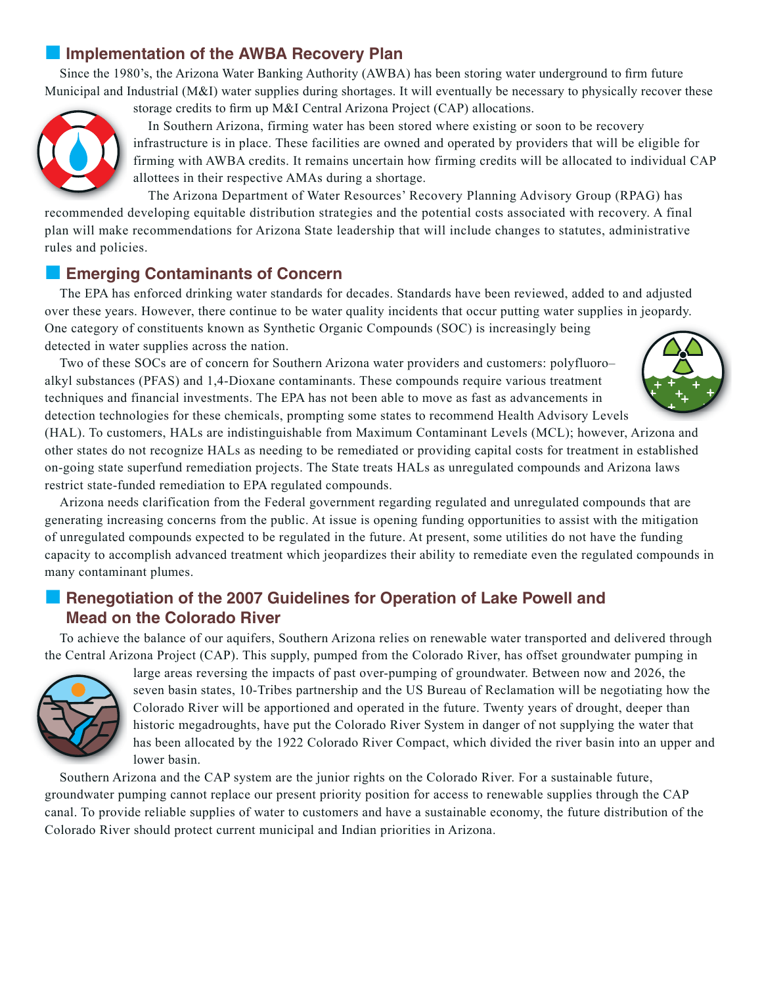## **■ Implementation of the AWBA Recovery Plan**

Since the 1980's, the Arizona Water Banking Authority (AWBA) has been storing water underground to frm future Municipal and Industrial (M&I) water supplies during shortages. It will eventually be necessary to physically recover these



storage credits to frm up M&I Central Arizona Project (CAP) allocations.

In Southern Arizona, firming water has been stored where existing or soon to be recovery infrastructure is in place. These facilities are owned and operated by providers that will be eligible for firming with AWBA credits. It remains uncertain how firming credits will be allocated to individual CAP allottees in their respective AMAs during a shortage.

The Arizona Department of Water Resources' Recovery Planning Advisory Group (RPAG) has recommended developing equitable distribution strategies and the potential costs associated with recovery. A final plan will make recommendations for Arizona State leadership that will include changes to statutes, administrative rules and policies.

#### **Emerging Contaminants of Concern**

The EPA has enforced drinking water standards for decades. Standards have been reviewed, added to and adjusted over these years. However, there continue to be water quality incidents that occur putting water supplies in jeopardy. One category of constituents known as Synthetic Organic Compounds (SOC) is increasingly being detected in water supplies across the nation.

Two of these SOCs are of concern for Southern Arizona water providers and customers: polyfluoro– alkyl substances (PFAS) and 1,4-Dioxane contaminants. These compounds require various treatment techniques and financial investments. The EPA has not been able to move as fast as advancements in detection technologies for these chemicals, prompting some states to recommend Health Advisory Levels



(HAL). To customers, HALs are indistinguishable from Maximum Contaminant Levels (MCL); however, Arizona and other states do not recognize HALs as needing to be remediated or providing capital costs for treatment in established on-going state superfund remediation projects. The State treats HALs as unregulated compounds and Arizona laws restrict state-funded remediation to EPA regulated compounds.

Arizona needs clarification from the Federal government regarding regulated and unregulated compounds that are generating increasing concerns from the public. At issue is opening funding opportunities to assist with the mitigation of unregulated compounds expected to be regulated in the future. At present, some utilities do not have the funding capacity to accomplish advanced treatment which jeopardizes their ability to remediate even the regulated compounds in many contaminant plumes.

#### **Exerce Renegotiation of the 2007 Guidelines for Operation of Lake Powell and Mead on the Colorado River**

To achieve the balance of our aquifers, Southern Arizona relies on renewable water transported and delivered through the Central Arizona Project (CAP). This supply, pumped from the Colorado River, has offset groundwater pumping in



large areas reversing the impacts of past over-pumping of groundwater. Between now and 2026, the seven basin states, 10-Tribes partnership and the US Bureau of Reclamation will be negotiating how the Colorado River will be apportioned and operated in the future. Twenty years of drought, deeper than historic megadroughts, have put the Colorado River System in danger of not supplying the water that has been allocated by the 1922 Colorado River Compact, which divided the river basin into an upper and lower basin.

Southern Arizona and the CAP system are the junior rights on the Colorado River. For a sustainable future, groundwater pumping cannot replace our present priority position for access to renewable supplies through the CAP canal. To provide reliable supplies of water to customers and have a sustainable economy, the future distribution of the Colorado River should protect current municipal and Indian priorities in Arizona.